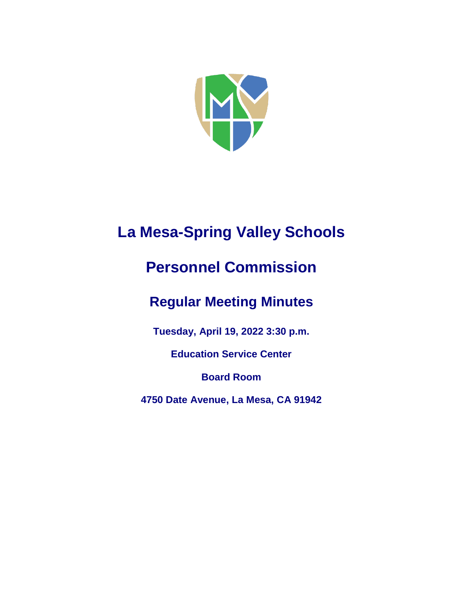

# **La Mesa-Spring Valley Schools**

## **Personnel Commission**

## **Regular Meeting Minutes**

**Tuesday, April 19, 2022 3:30 p.m.**

**Education Service Center**

**Board Room**

**4750 Date Avenue, La Mesa, CA 91942**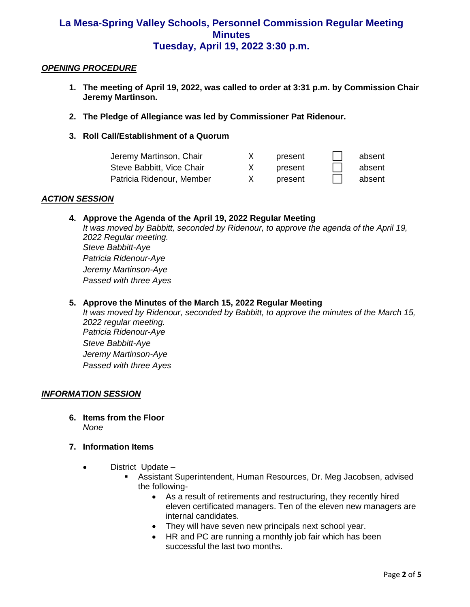## *OPENING PROCEDURE*

- **1. The meeting of April 19, 2022, was called to order at 3:31 p.m. by Commission Chair Jeremy Martinson.**
- **2. The Pledge of Allegiance was led by Commissioner Pat Ridenour.**
- **3. Roll Call/Establishment of a Quorum**

| Jeremy Martinson, Chair   | present | absent |
|---------------------------|---------|--------|
| Steve Babbitt, Vice Chair | present | absent |
| Patricia Ridenour, Member | present | absent |

#### *ACTION SESSION*

## **4. Approve the Agenda of the April 19, 2022 Regular Meeting**

*It was moved by Babbitt, seconded by Ridenour, to approve the agenda of the April 19, 2022 Regular meeting. Steve Babbitt-Aye Patricia Ridenour-Aye Jeremy Martinson-Aye Passed with three Ayes*

### **5. Approve the Minutes of the March 15, 2022 Regular Meeting**

*It was moved by Ridenour, seconded by Babbitt, to approve the minutes of the March 15, 2022 regular meeting. Patricia Ridenour-Aye Steve Babbitt-Aye Jeremy Martinson-Aye Passed with three Ayes*

#### *INFORMATION SESSION*

- **6. Items from the Floor**  *None*
- **7. Information Items**
	- District Update
		- Assistant Superintendent, Human Resources, Dr. Meg Jacobsen, advised the following-
			- As a result of retirements and restructuring, they recently hired eleven certificated managers. Ten of the eleven new managers are internal candidates.
			- They will have seven new principals next school year.
			- HR and PC are running a monthly job fair which has been successful the last two months.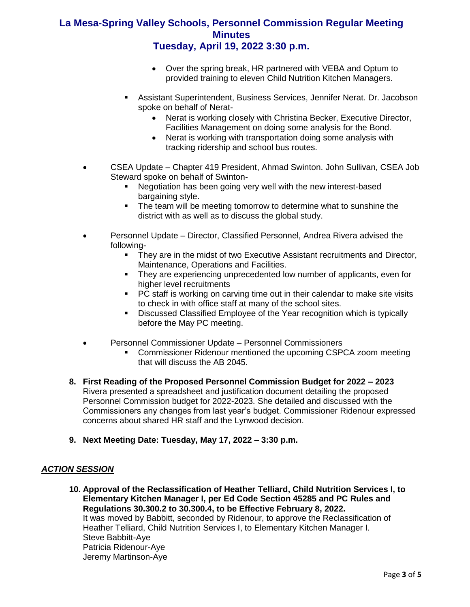- Over the spring break, HR partnered with VEBA and Optum to provided training to eleven Child Nutrition Kitchen Managers.
- **EXECTS: Assistant Superintendent, Business Services, Jennifer Nerat. Dr. Jacobson** spoke on behalf of Nerat-
	- Nerat is working closely with Christina Becker, Executive Director, Facilities Management on doing some analysis for the Bond.
	- Nerat is working with transportation doing some analysis with tracking ridership and school bus routes.
- CSEA Update Chapter 419 President, Ahmad Swinton. John Sullivan, CSEA Job Steward spoke on behalf of Swinton-
	- Negotiation has been going very well with the new interest-based bargaining style.
	- **.** The team will be meeting tomorrow to determine what to sunshine the district with as well as to discuss the global study.
- Personnel Update Director, Classified Personnel, Andrea Rivera advised the following-
	- **They are in the midst of two Executive Assistant recruitments and Director,** Maintenance, Operations and Facilities.
	- They are experiencing unprecedented low number of applicants, even for higher level recruitments
	- PC staff is working on carving time out in their calendar to make site visits to check in with office staff at many of the school sites.
	- Discussed Classified Employee of the Year recognition which is typically before the May PC meeting.
- Personnel Commissioner Update Personnel Commissioners
	- Commissioner Ridenour mentioned the upcoming CSPCA zoom meeting that will discuss the AB 2045.
- **8. First Reading of the Proposed Personnel Commission Budget for 2022 – 2023** Rivera presented a spreadsheet and justification document detailing the proposed Personnel Commission budget for 2022-2023. She detailed and discussed with the Commissioners any changes from last year's budget. Commissioner Ridenour expressed concerns about shared HR staff and the Lynwood decision.
- **9. Next Meeting Date: Tuesday, May 17, 2022 – 3:30 p.m.**

## *ACTION SESSION*

**10. Approval of the Reclassification of Heather Telliard, Child Nutrition Services I, to Elementary Kitchen Manager I, per Ed Code Section 45285 and PC Rules and Regulations 30.300.2 to 30.300.4, to be Effective February 8, 2022.** It was moved by Babbitt, seconded by Ridenour, to approve the Reclassification of Heather Telliard, Child Nutrition Services I, to Elementary Kitchen Manager I. Steve Babbitt-Aye Patricia Ridenour-Aye Jeremy Martinson-Aye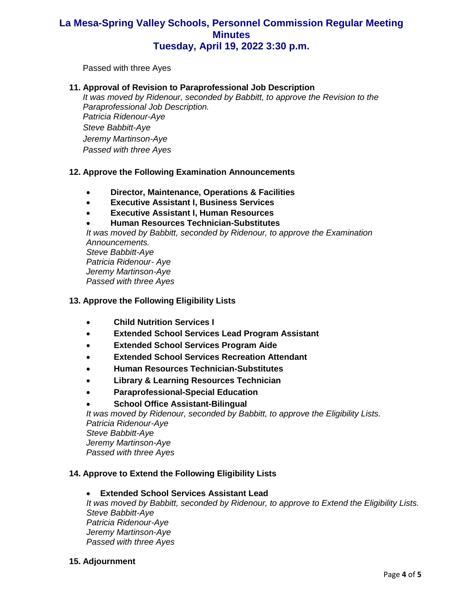Passed with three Ayes

#### **11. Approval of Revision to Paraprofessional Job Description**

*It was moved by Ridenour, seconded by Babbitt, to approve the Revision to the Paraprofessional Job Description. Patricia Ridenour-Aye Steve Babbitt-Aye Jeremy Martinson-Aye Passed with three Ayes*

## **12. Approve the Following Examination Announcements**

- **Director, Maintenance, Operations & Facilities**
- **Executive Assistant I, Business Services**
- **Executive Assistant I, Human Resources**
- **Human Resources Technician-Substitutes**

*It was moved by Babbitt, seconded by Ridenour, to approve the Examination Announcements. Steve Babbitt-Aye*

*Patricia Ridenour- Aye Jeremy Martinson-Aye Passed with three Ayes*

### **13. Approve the Following Eligibility Lists**

- **Child Nutrition Services I**
- **Extended School Services Lead Program Assistant**
- **Extended School Services Program Aide**
- **Extended School Services Recreation Attendant**
- **Human Resources Technician-Substitutes**
- **Library & Learning Resources Technician**
- **Paraprofessional-Special Education**
- **School Office Assistant-Bilingual**

*It was moved by Ridenour, seconded by Babbitt, to approve the Eligibility Lists. Patricia Ridenour-Aye Steve Babbitt-Aye Jeremy Martinson-Aye Passed with three Ayes*

### **14. Approve to Extend the Following Eligibility Lists**

## • **Extended School Services Assistant Lead**

*It was moved by Babbitt, seconded by Ridenour, to approve to Extend the Eligibility Lists. Steve Babbitt-Aye Patricia Ridenour-Aye Jeremy Martinson-Aye Passed with three Ayes*

**15. Adjournment**